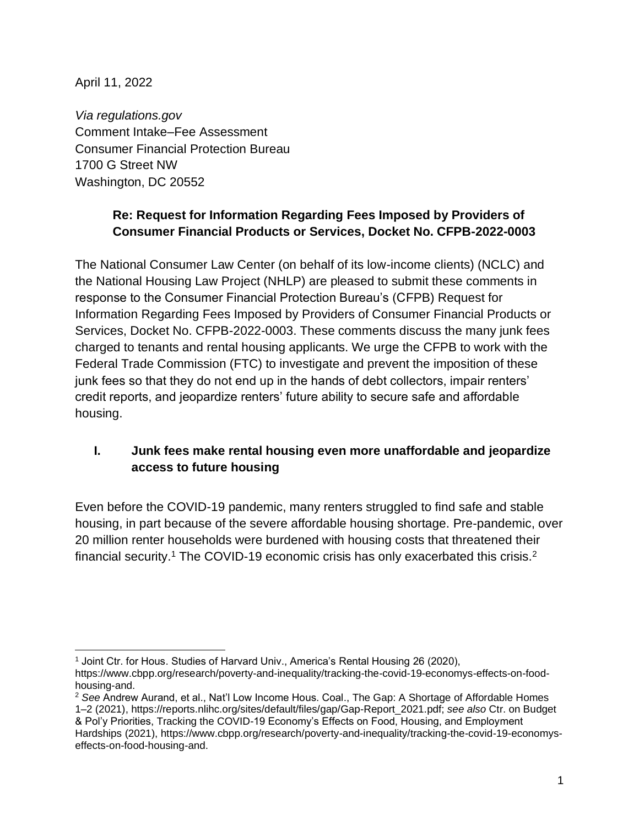April 11, 2022

*Via regulations.gov* Comment Intake–Fee Assessment Consumer Financial Protection Bureau 1700 G Street NW Washington, DC 20552

# **Re: Request for Information Regarding Fees Imposed by Providers of Consumer Financial Products or Services, Docket No. CFPB-2022-0003**

The National Consumer Law Center (on behalf of its low-income clients) (NCLC) and the National Housing Law Project (NHLP) are pleased to submit these comments in response to the Consumer Financial Protection Bureau's (CFPB) Request for Information Regarding Fees Imposed by Providers of Consumer Financial Products or Services, Docket No. CFPB-2022-0003. These comments discuss the many junk fees charged to tenants and rental housing applicants. We urge the CFPB to work with the Federal Trade Commission (FTC) to investigate and prevent the imposition of these junk fees so that they do not end up in the hands of debt collectors, impair renters' credit reports, and jeopardize renters' future ability to secure safe and affordable housing.

# **I. Junk fees make rental housing even more unaffordable and jeopardize access to future housing**

Even before the COVID-19 pandemic, many renters struggled to find safe and stable housing, in part because of the severe affordable housing shortage. Pre-pandemic, over 20 million renter households were burdened with housing costs that threatened their financial security.<sup>1</sup> The COVID-19 economic crisis has only exacerbated this crisis.<sup>2</sup>

<sup>1</sup> Joint Ctr. for Hous. Studies of Harvard Univ., America's Rental Housing 26 (2020),

https://www.cbpp.org/research/poverty-and-inequality/tracking-the-covid-19-economys-effects-on-foodhousing-and.

<sup>2</sup> *See* Andrew Aurand, et al., Nat'l Low Income Hous. Coal., The Gap: A Shortage of Affordable Homes 1–2 (2021), [https://reports.nlihc.org/sites/default/files/gap/Gap-Report\\_2021.pdf;](https://reports.nlihc.org/sites/default/files/gap/Gap-Report_2021.pdf) *see also* Ctr. on Budget & Pol'y Priorities, Tracking the COVID-19 Economy's Effects on Food, Housing, and Employment Hardships (2021), [https://www.cbpp.org/research/poverty-and-inequality/tracking-the-covid-19-economys](https://www.cbpp.org/research/poverty-and-inequality/tracking-the-covid-19-economys-effects-on-food-housing-and)[effects-on-food-housing-and.](https://www.cbpp.org/research/poverty-and-inequality/tracking-the-covid-19-economys-effects-on-food-housing-and)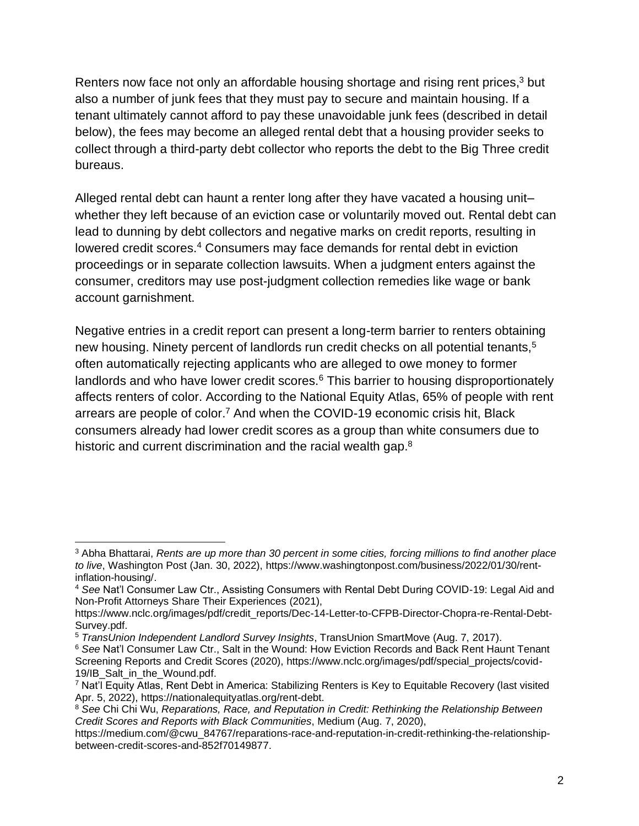Renters now face not only an affordable housing shortage and rising rent prices,<sup>3</sup> but also a number of junk fees that they must pay to secure and maintain housing. If a tenant ultimately cannot afford to pay these unavoidable junk fees (described in detail below), the fees may become an alleged rental debt that a housing provider seeks to collect through a third-party debt collector who reports the debt to the Big Three credit bureaus.

Alleged rental debt can haunt a renter long after they have vacated a housing unit– whether they left because of an eviction case or voluntarily moved out. Rental debt can lead to dunning by debt collectors and negative marks on credit reports, resulting in lowered credit scores.<sup>4</sup> Consumers may face demands for rental debt in eviction proceedings or in separate collection lawsuits. When a judgment enters against the consumer, creditors may use post-judgment collection remedies like wage or bank account garnishment.

Negative entries in a credit report can present a long-term barrier to renters obtaining new housing. Ninety percent of landlords run credit checks on all potential tenants,<sup>5</sup> often automatically rejecting applicants who are alleged to owe money to former landlords and who have lower credit scores.<sup>6</sup> This barrier to housing disproportionately affects renters of color. According to the National Equity Atlas, 65% of people with rent arrears are people of color.<sup>7</sup> And when the COVID-19 economic crisis hit, Black consumers already had lower credit scores as a group than white consumers due to historic and current discrimination and the racial wealth gap.<sup>8</sup>

<sup>3</sup> Abha Bhattarai, *Rents are up more than 30 percent in some cities, forcing millions to find another place to live*, Washington Post (Jan. 30, 2022), https://www.washingtonpost.com/business/2022/01/30/rentinflation-housing/.

<sup>4</sup> *See* Nat'l Consumer Law Ctr., Assisting Consumers with Rental Debt During COVID-19: Legal Aid and Non-Profit Attorneys Share Their Experiences (2021),

https://www.nclc.org/images/pdf/credit\_reports/Dec-14-Letter-to-CFPB-Director-Chopra-re-Rental-Debt-Survey.pdf.

<sup>5</sup> *[TransUnion Independent Landlord Survey Insights](https://www.mysmartmove.com/SmartMove/blog/landlord-rental-market-survey-insights-infographic.page)*, TransUnion SmartMove (Aug. 7, 2017).

<sup>6</sup> *See* Nat'l Consumer Law Ctr., Salt in the Wound: How Eviction Records and Back Rent Haunt Tenant Screening Reports and Credit Scores (2020), https://www.nclc.org/images/pdf/special\_projects/covid-19/IB\_Salt\_in\_the\_Wound.pdf.

<sup>7</sup> Nat'l Equity Atlas, Rent Debt in America: Stabilizing Renters is Key to Equitable Recovery (last visited Apr. 5, 2022), https://nationalequityatlas.org/rent-debt.

<sup>8</sup> *See* Chi Chi Wu, *Reparations, Race, and Reputation in Credit: Rethinking the Relationship Between Credit Scores and Reports with Black Communities*, Medium (Aug. 7, 2020),

https://medium.com/@cwu\_84767/reparations-race-and-reputation-in-credit-rethinking-the-relationshipbetween-credit-scores-and-852f70149877.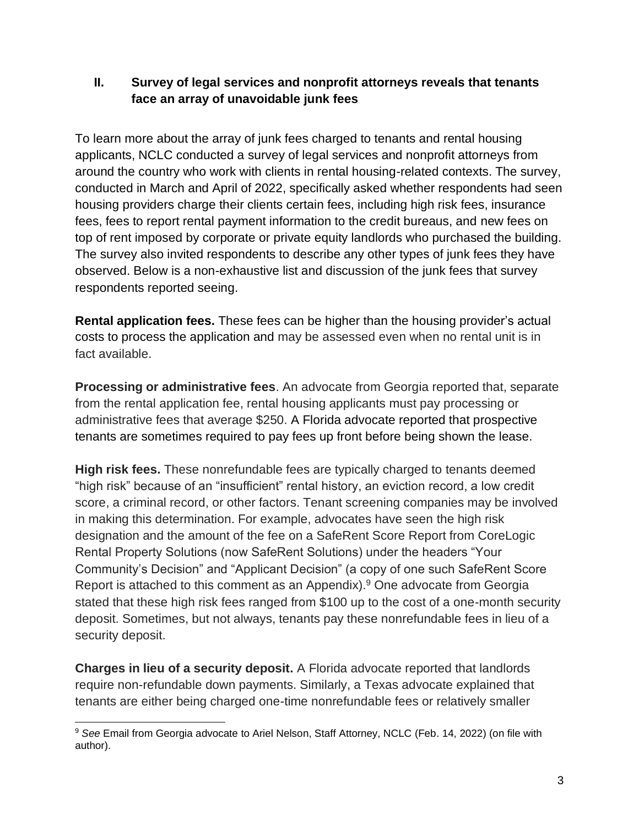## **II. Survey of legal services and nonprofit attorneys reveals that tenants face an array of unavoidable junk fees**

To learn more about the array of junk fees charged to tenants and rental housing applicants, NCLC conducted a survey of legal services and nonprofit attorneys from around the country who work with clients in rental housing-related contexts. The survey, conducted in March and April of 2022, specifically asked whether respondents had seen housing providers charge their clients certain fees, including high risk fees, insurance fees, fees to report rental payment information to the credit bureaus, and new fees on top of rent imposed by corporate or private equity landlords who purchased the building. The survey also invited respondents to describe any other types of junk fees they have observed. Below is a non-exhaustive list and discussion of the junk fees that survey respondents reported seeing.

**Rental application fees.** These fees can be higher than the housing provider's actual costs to process the application and may be assessed even when no rental unit is in fact available.

**Processing or administrative fees**. An advocate from Georgia reported that, separate from the rental application fee, rental housing applicants must pay processing or administrative fees that average \$250. A Florida advocate reported that prospective tenants are sometimes required to pay fees up front before being shown the lease.

**High risk fees.** These nonrefundable fees are typically charged to tenants deemed "high risk" because of an "insufficient" rental history, an eviction record, a low credit score, a criminal record, or other factors. Tenant screening companies may be involved in making this determination. For example, advocates have seen the high risk designation and the amount of the fee on a SafeRent Score Report from CoreLogic Rental Property Solutions (now SafeRent Solutions) under the headers "Your Community's Decision" and "Applicant Decision" (a copy of one such SafeRent Score Report is attached to this comment as an Appendix).<sup>9</sup> One advocate from Georgia stated that these high risk fees ranged from \$100 up to the cost of a one-month security deposit. Sometimes, but not always, tenants pay these nonrefundable fees in lieu of a security deposit.

**Charges in lieu of a security deposit.** A Florida advocate reported that landlords require non-refundable down payments. Similarly, a Texas advocate explained that tenants are either being charged one-time nonrefundable fees or relatively smaller

<sup>9</sup> *See* Email from Georgia advocate to Ariel Nelson, Staff Attorney, NCLC (Feb. 14, 2022) (on file with author).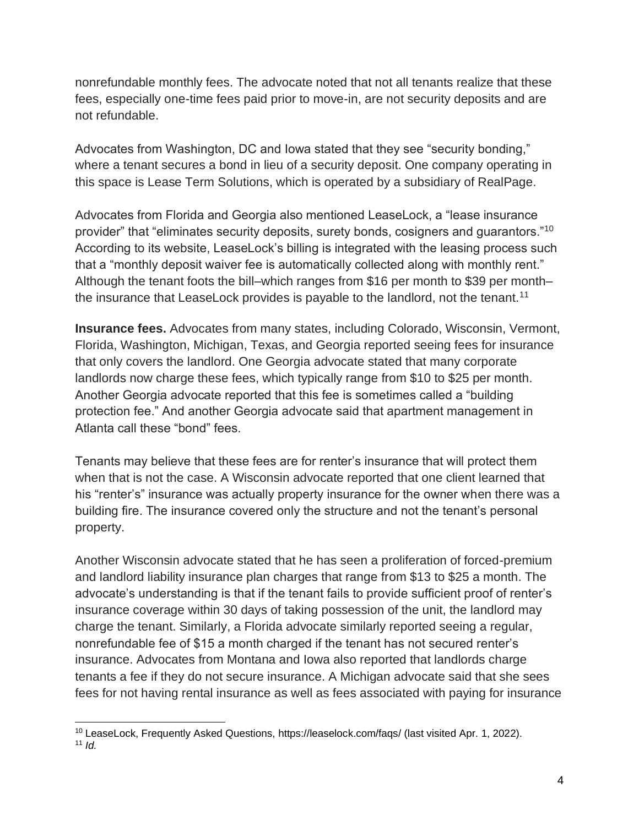nonrefundable monthly fees. The advocate noted that not all tenants realize that these fees, especially one-time fees paid prior to move-in, are not security deposits and are not refundable.

Advocates from Washington, DC and Iowa stated that they see "security bonding," where a tenant secures a bond in lieu of a security deposit. One company operating in this space is Lease Term Solutions, which is operated by a subsidiary of RealPage.

Advocates from Florida and Georgia also mentioned LeaseLock, a "lease insurance provider" that "eliminates security deposits, surety bonds, cosigners and guarantors."<sup>10</sup> According to its website, LeaseLock's billing is integrated with the leasing process such that a "monthly deposit waiver fee is automatically collected along with monthly rent." Although the tenant foots the bill–which ranges from \$16 per month to \$39 per month– the insurance that LeaseLock provides is payable to the landlord, not the tenant.<sup>11</sup>

**Insurance fees.** Advocates from many states, including Colorado, Wisconsin, Vermont, Florida, Washington, Michigan, Texas, and Georgia reported seeing fees for insurance that only covers the landlord. One Georgia advocate stated that many corporate landlords now charge these fees, which typically range from \$10 to \$25 per month. Another Georgia advocate reported that this fee is sometimes called a "building protection fee." And another Georgia advocate said that apartment management in Atlanta call these "bond" fees.

Tenants may believe that these fees are for renter's insurance that will protect them when that is not the case. A Wisconsin advocate reported that one client learned that his "renter's" insurance was actually property insurance for the owner when there was a building fire. The insurance covered only the structure and not the tenant's personal property.

Another Wisconsin advocate stated that he has seen a proliferation of forced-premium and landlord liability insurance plan charges that range from \$13 to \$25 a month. The advocate's understanding is that if the tenant fails to provide sufficient proof of renter's insurance coverage within 30 days of taking possession of the unit, the landlord may charge the tenant. Similarly, a Florida advocate similarly reported seeing a regular, nonrefundable fee of \$15 a month charged if the tenant has not secured renter's insurance. Advocates from Montana and Iowa also reported that landlords charge tenants a fee if they do not secure insurance. A Michigan advocate said that she sees fees for not having rental insurance as well as fees associated with paying for insurance

<sup>&</sup>lt;sup>10</sup> LeaseLock, Frequently Asked Questions,<https://leaselock.com/faqs/> (last visited Apr. 1, 2022). <sup>11</sup> *Id.*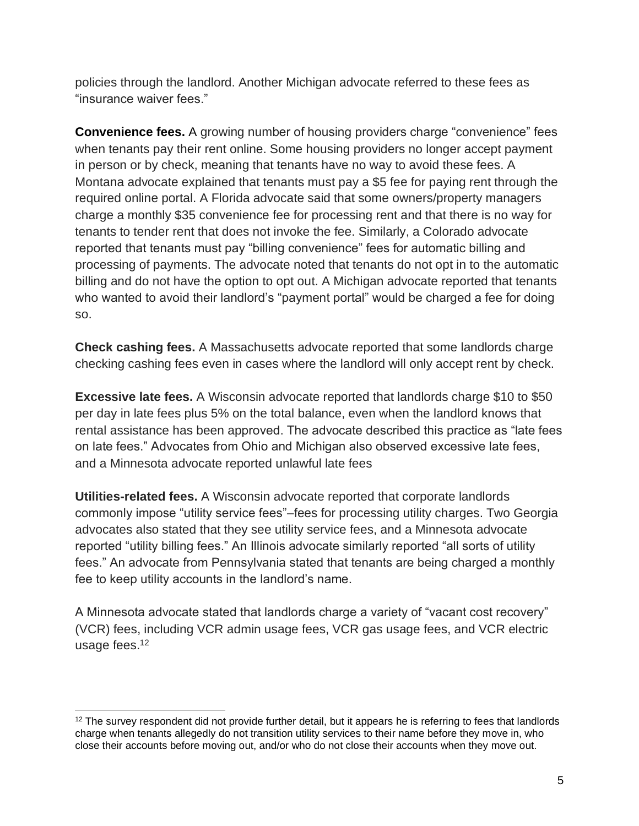policies through the landlord. Another Michigan advocate referred to these fees as "insurance waiver fees."

**Convenience fees.** A growing number of housing providers charge "convenience" fees when tenants pay their rent online. Some housing providers no longer accept payment in person or by check, meaning that tenants have no way to avoid these fees. A Montana advocate explained that tenants must pay a \$5 fee for paying rent through the required online portal. A Florida advocate said that some owners/property managers charge a monthly \$35 convenience fee for processing rent and that there is no way for tenants to tender rent that does not invoke the fee. Similarly, a Colorado advocate reported that tenants must pay "billing convenience" fees for automatic billing and processing of payments. The advocate noted that tenants do not opt in to the automatic billing and do not have the option to opt out. A Michigan advocate reported that tenants who wanted to avoid their landlord's "payment portal" would be charged a fee for doing so.

**Check cashing fees.** A Massachusetts advocate reported that some landlords charge checking cashing fees even in cases where the landlord will only accept rent by check.

**Excessive late fees.** A Wisconsin advocate reported that landlords charge \$10 to \$50 per day in late fees plus 5% on the total balance, even when the landlord knows that rental assistance has been approved. The advocate described this practice as "late fees on late fees." Advocates from Ohio and Michigan also observed excessive late fees, and a Minnesota advocate reported unlawful late fees

**Utilities-related fees.** A Wisconsin advocate reported that corporate landlords commonly impose "utility service fees"–fees for processing utility charges. Two Georgia advocates also stated that they see utility service fees, and a Minnesota advocate reported "utility billing fees." An Illinois advocate similarly reported "all sorts of utility fees." An advocate from Pennsylvania stated that tenants are being charged a monthly fee to keep utility accounts in the landlord's name.

A Minnesota advocate stated that landlords charge a variety of "vacant cost recovery" (VCR) fees, including VCR admin usage fees, VCR gas usage fees, and VCR electric usage fees.<sup>12</sup>

 $12$  The survey respondent did not provide further detail, but it appears he is referring to fees that landlords charge when tenants allegedly do not transition utility services to their name before they move in, who close their accounts before moving out, and/or who do not close their accounts when they move out.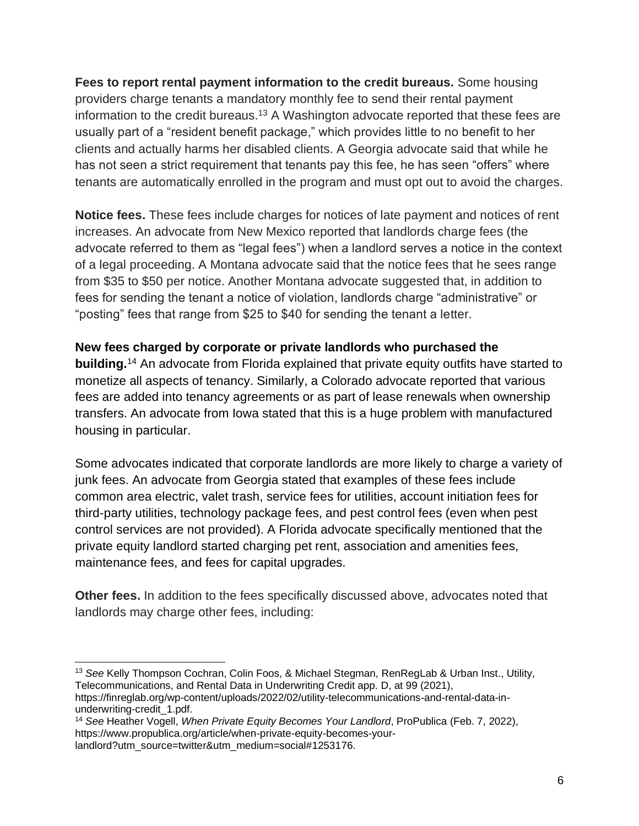**Fees to report rental payment information to the credit bureaus.** Some housing providers charge tenants a mandatory monthly fee to send their rental payment information to the credit bureaus.<sup>13</sup> A Washington advocate reported that these fees are usually part of a "resident benefit package," which provides little to no benefit to her clients and actually harms her disabled clients. A Georgia advocate said that while he has not seen a strict requirement that tenants pay this fee, he has seen "offers" where tenants are automatically enrolled in the program and must opt out to avoid the charges.

**Notice fees.** These fees include charges for notices of late payment and notices of rent increases. An advocate from New Mexico reported that landlords charge fees (the advocate referred to them as "legal fees") when a landlord serves a notice in the context of a legal proceeding. A Montana advocate said that the notice fees that he sees range from \$35 to \$50 per notice. Another Montana advocate suggested that, in addition to fees for sending the tenant a notice of violation, landlords charge "administrative" or "posting" fees that range from \$25 to \$40 for sending the tenant a letter.

### **New fees charged by corporate or private landlords who purchased the**

**building.**<sup>14</sup> An advocate from Florida explained that private equity outfits have started to monetize all aspects of tenancy. Similarly, a Colorado advocate reported that various fees are added into tenancy agreements or as part of lease renewals when ownership transfers. An advocate from Iowa stated that this is a huge problem with manufactured housing in particular.

Some advocates indicated that corporate landlords are more likely to charge a variety of junk fees. An advocate from Georgia stated that examples of these fees include common area electric, valet trash, service fees for utilities, account initiation fees for third-party utilities, technology package fees, and pest control fees (even when pest control services are not provided). A Florida advocate specifically mentioned that the private equity landlord started charging pet rent, association and amenities fees, maintenance fees, and fees for capital upgrades.

**Other fees.** In addition to the fees specifically discussed above, advocates noted that landlords may charge other fees, including:

<sup>13</sup> *See* Kelly Thompson Cochran, Colin Foos, & Michael Stegman, RenRegLab & Urban Inst., Utility, Telecommunications, and Rental Data in Underwriting Credit app. D, at 99 (2021), https://finreglab.org/wp-content/uploads/2022/02/utility-telecommunications-and-rental-data-inunderwriting-credit\_1.pdf.

<sup>14</sup> *See* Heather Vogell, *When Private Equity Becomes Your Landlord*, ProPublica (Feb. 7, 2022), https://www.propublica.org/article/when-private-equity-becomes-yourlandlord?utm\_source=twitter&utm\_medium=social#1253176.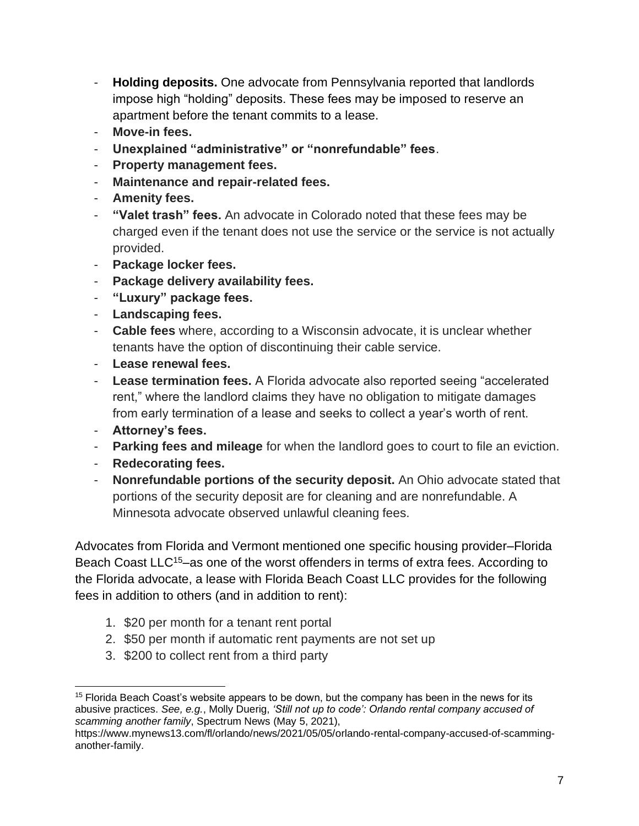- **Holding deposits.** One advocate from Pennsylvania reported that landlords impose high "holding" deposits. These fees may be imposed to reserve an apartment before the tenant commits to a lease.
- **Move-in fees.**
- **Unexplained "administrative" or "nonrefundable" fees**.
- **Property management fees.**
- **Maintenance and repair-related fees.**
- **Amenity fees.**
- **"Valet trash" fees.** An advocate in Colorado noted that these fees may be charged even if the tenant does not use the service or the service is not actually provided.
- **Package locker fees.**
- **Package delivery availability fees.**
- **"Luxury" package fees.**
- **Landscaping fees.**
- **Cable fees** where, according to a Wisconsin advocate, it is unclear whether tenants have the option of discontinuing their cable service.
- **Lease renewal fees.**
- Lease termination fees. A Florida advocate also reported seeing "accelerated rent," where the landlord claims they have no obligation to mitigate damages from early termination of a lease and seeks to collect a year's worth of rent.
- **Attorney's fees.**
- **Parking fees and mileage** for when the landlord goes to court to file an eviction.
- **Redecorating fees.**
- **Nonrefundable portions of the security deposit.** An Ohio advocate stated that portions of the security deposit are for cleaning and are nonrefundable. A Minnesota advocate observed unlawful cleaning fees.

Advocates from Florida and Vermont mentioned one specific housing provider–Florida Beach Coast LLC<sup>15</sup>–as one of the worst offenders in terms of extra fees. According to the Florida advocate, a lease with Florida Beach Coast LLC provides for the following fees in addition to others (and in addition to rent):

- 1. \$20 per month for a tenant rent portal
- 2. \$50 per month if automatic rent payments are not set up
- 3. \$200 to collect rent from a third party

 $15$  Florida Beach Coast's website appears to be down, but the company has been in the news for its abusive practices. *See, e.g.*, Molly Duerig, *'Still not up to code': Orlando rental company accused of scamming another family*, Spectrum News (May 5, 2021),

https://www.mynews13.com/fl/orlando/news/2021/05/05/orlando-rental-company-accused-of-scamminganother-family.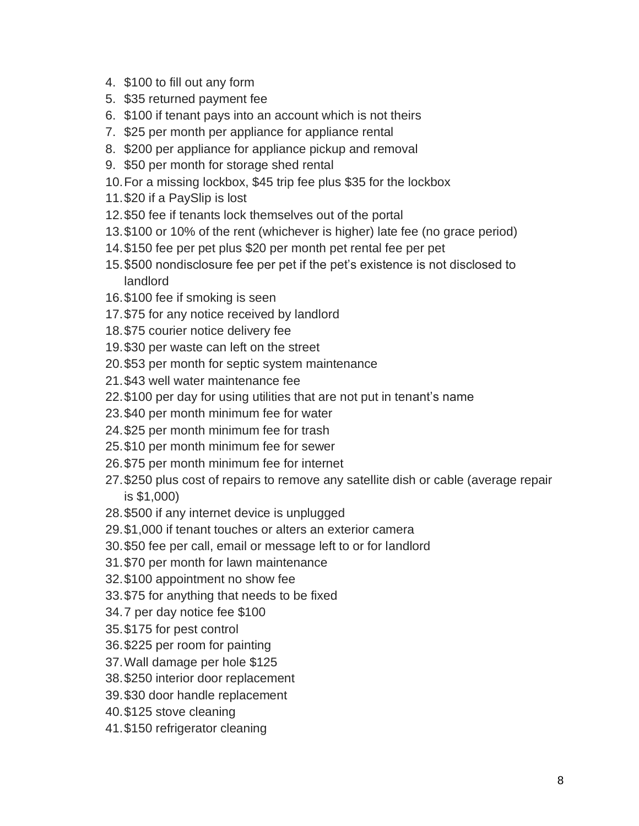- 4. \$100 to fill out any form
- 5. \$35 returned payment fee
- 6. \$100 if tenant pays into an account which is not theirs
- 7. \$25 per month per appliance for appliance rental
- 8. \$200 per appliance for appliance pickup and removal
- 9. \$50 per month for storage shed rental
- 10.For a missing lockbox, \$45 trip fee plus \$35 for the lockbox
- 11.\$20 if a PaySlip is lost
- 12.\$50 fee if tenants lock themselves out of the portal
- 13.\$100 or 10% of the rent (whichever is higher) late fee (no grace period)
- 14.\$150 fee per pet plus \$20 per month pet rental fee per pet
- 15.\$500 nondisclosure fee per pet if the pet's existence is not disclosed to landlord
- 16.\$100 fee if smoking is seen
- 17.\$75 for any notice received by landlord
- 18.\$75 courier notice delivery fee
- 19.\$30 per waste can left on the street
- 20.\$53 per month for septic system maintenance
- 21.\$43 well water maintenance fee
- 22.\$100 per day for using utilities that are not put in tenant's name
- 23.\$40 per month minimum fee for water
- 24.\$25 per month minimum fee for trash
- 25.\$10 per month minimum fee for sewer
- 26.\$75 per month minimum fee for internet
- 27.\$250 plus cost of repairs to remove any satellite dish or cable (average repair is \$1,000)
- 28.\$500 if any internet device is unplugged
- 29.\$1,000 if tenant touches or alters an exterior camera
- 30.\$50 fee per call, email or message left to or for landlord
- 31.\$70 per month for lawn maintenance
- 32.\$100 appointment no show fee
- 33.\$75 for anything that needs to be fixed
- 34.7 per day notice fee \$100
- 35.\$175 for pest control
- 36.\$225 per room for painting
- 37.Wall damage per hole \$125
- 38.\$250 interior door replacement
- 39.\$30 door handle replacement
- 40.\$125 stove cleaning
- 41.\$150 refrigerator cleaning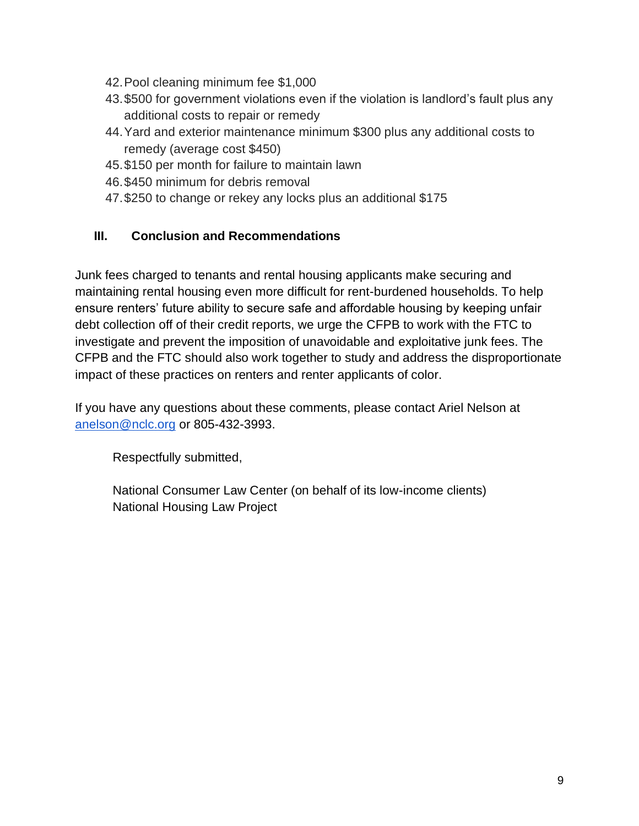- 42.Pool cleaning minimum fee \$1,000
- 43.\$500 for government violations even if the violation is landlord's fault plus any additional costs to repair or remedy
- 44.Yard and exterior maintenance minimum \$300 plus any additional costs to remedy (average cost \$450)
- 45.\$150 per month for failure to maintain lawn
- 46.\$450 minimum for debris removal
- 47.\$250 to change or rekey any locks plus an additional \$175

### **III. Conclusion and Recommendations**

Junk fees charged to tenants and rental housing applicants make securing and maintaining rental housing even more difficult for rent-burdened households. To help ensure renters' future ability to secure safe and affordable housing by keeping unfair debt collection off of their credit reports, we urge the CFPB to work with the FTC to investigate and prevent the imposition of unavoidable and exploitative junk fees. The CFPB and the FTC should also work together to study and address the disproportionate impact of these practices on renters and renter applicants of color.

If you have any questions about these comments, please contact Ariel Nelson at [anelson@nclc.org](mailto:anelson@nclc.org) or 805-432-3993.

Respectfully submitted,

National Consumer Law Center (on behalf of its low-income clients) National Housing Law Project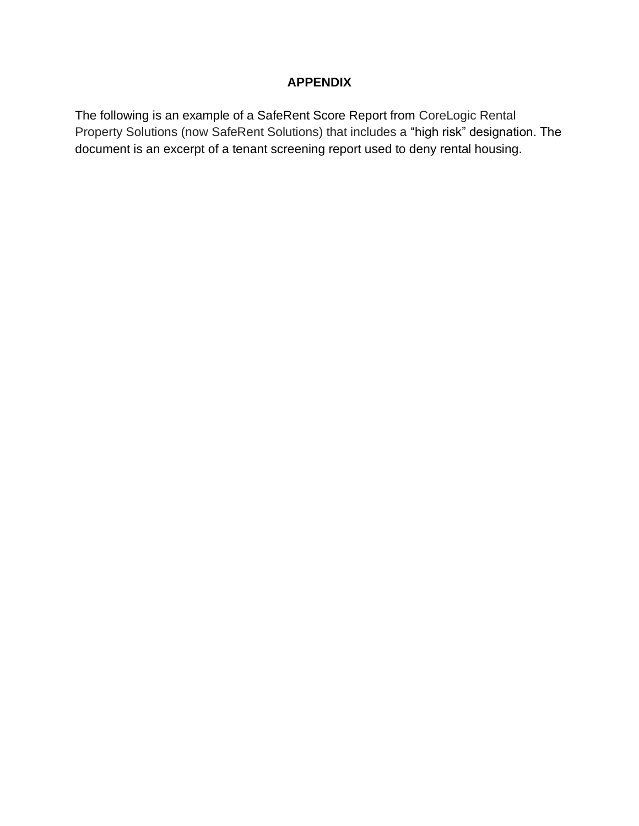## **APPENDIX**

The following is an example of a SafeRent Score Report from CoreLogic Rental Property Solutions (now SafeRent Solutions) that includes a "high risk" designation. The document is an excerpt of a tenant screening report used to deny rental housing.